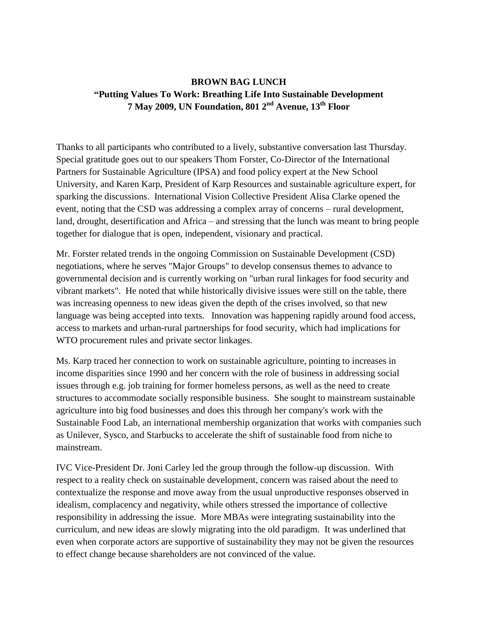## **BROWN BAG LUNCH "Putting Values To Work: Breathing Life Into Sustainable Development 7 May 2009, UN Foundation, 801 2nd Avenue, 13th Floor**

Thanks to all participants who contributed to a lively, substantive conversation last Thursday. Special gratitude goes out to our speakers Thom Forster, Co-Director of the International Partners for Sustainable Agriculture (IPSA) and food policy expert at the New School University, and Karen Karp, President of Karp Resources and sustainable agriculture expert, for sparking the discussions. International Vision Collective President Alisa Clarke opened the event, noting that the CSD was addressing a complex array of concerns – rural development, land, drought, desertification and Africa – and stressing that the lunch was meant to bring people together for dialogue that is open, independent, visionary and practical.

Mr. Forster related trends in the ongoing Commission on Sustainable Development (CSD) negotiations, where he serves "Major Groups" to develop consensus themes to advance to governmental decision and is currently working on "urban rural linkages for food security and vibrant markets". He noted that while historically divisive issues were still on the table, there was increasing openness to new ideas given the depth of the crises involved, so that new language was being accepted into texts. Innovation was happening rapidly around food access, access to markets and urban-rural partnerships for food security, which had implications for WTO procurement rules and private sector linkages.

Ms. Karp traced her connection to work on sustainable agriculture, pointing to increases in income disparities since 1990 and her concern with the role of business in addressing social issues through e.g. job training for former homeless persons, as well as the need to create structures to accommodate socially responsible business. She sought to mainstream sustainable agriculture into big food businesses and does this through her company's work with the Sustainable Food Lab, an international membership organization that works with companies such as Unilever, Sysco, and Starbucks to accelerate the shift of sustainable food from niche to mainstream.

IVC Vice-President Dr. Joni Carley led the group through the follow-up discussion. With respect to a reality check on sustainable development, concern was raised about the need to contextualize the response and move away from the usual unproductive responses observed in idealism, complacency and negativity, while others stressed the importance of collective responsibility in addressing the issue. More MBAs were integrating sustainability into the curriculum, and new ideas are slowly migrating into the old paradigm. It was underlined that even when corporate actors are supportive of sustainability they may not be given the resources to effect change because shareholders are not convinced of the value.